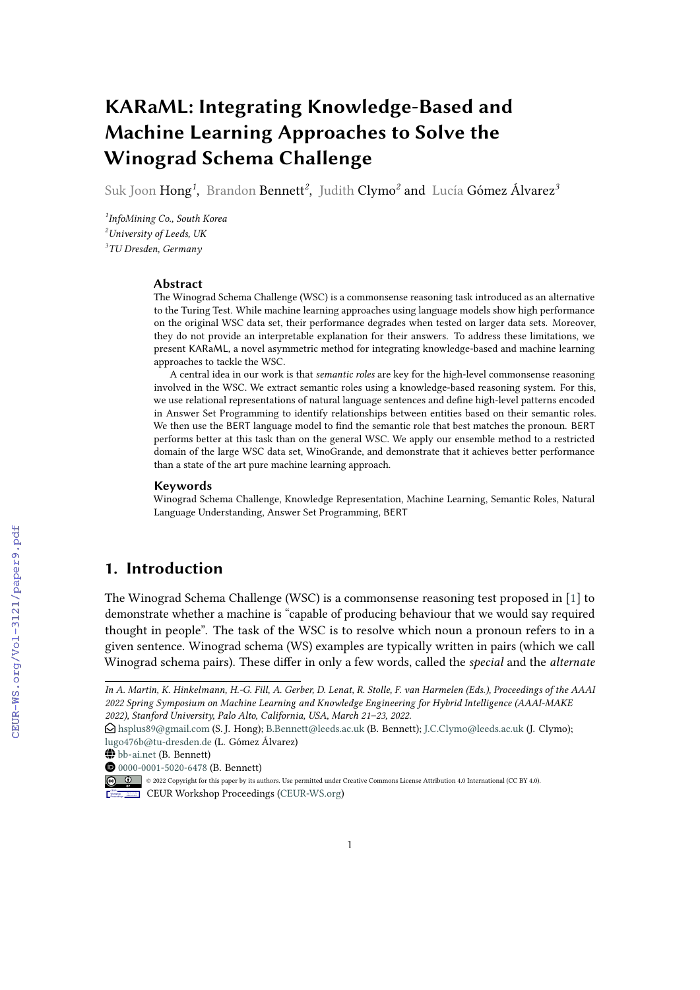# **KARaML: Integrating Knowledge-Based and Machine Learning Approaches to Solve the Winograd Schema Challenge**

Suk Joon Hong*<sup>1</sup>* , Brandon Bennett*<sup>2</sup>* , Judith Clymo*<sup>2</sup>* and Lucía Gómez Álvarez*<sup>3</sup>*

*1 InfoMining Co., South Korea <sup>2</sup>University of Leeds, UK 3 TU Dresden, Germany*

#### **Abstract**

The Winograd Schema Challenge (WSC) is a commonsense reasoning task introduced as an alternative to the Turing Test. While machine learning approaches using language models show high performance on the original WSC data set, their performance degrades when tested on larger data sets. Moreover, they do not provide an interpretable explanation for their answers. To address these limitations, we present KARaML, a novel asymmetric method for integrating knowledge-based and machine learning approaches to tackle the WSC.

A central idea in our work is that *semantic roles* are key for the high-level commonsense reasoning involved in the WSC. We extract semantic roles using a knowledge-based reasoning system. For this, we use relational representations of natural language sentences and define high-level patterns encoded in Answer Set Programming to identify relationships between entities based on their semantic roles. We then use the BERT language model to find the semantic role that best matches the pronoun. BERT performs better at this task than on the general WSC. We apply our ensemble method to a restricted domain of the large WSC data set, WinoGrande, and demonstrate that it achieves better performance than a state of the art pure machine learning approach.

#### **Keywords**

Winograd Schema Challenge, Knowledge Representation, Machine Learning, Semantic Roles, Natural Language Understanding, Answer Set Programming, BERT

# **1. Introduction**

The Winograd Schema Challenge (WSC) is a commonsense reasoning test proposed in [\[1\]](#page--1-0) to demonstrate whether a machine is "capable of producing behaviour that we would say required thought in people". The task of the WSC is to resolve which noun a pronoun refers to in a given sentence. Winograd schema (WS) examples are typically written in pairs (which we call Winograd schema pairs). These differ in only a few words, called the *special* and the *alternate*

*In A. Martin, K. Hinkelmann, H.-G. Fill, A. Gerber, D. Lenat, R. Stolle, F. van Harmelen (Eds.), Proceedings of the AAAI 2022 Spring Symposium on Machine Learning and Knowledge Engineering for Hybrid Intelligence (AAAI-MAKE 2022), Stanford University, Palo Alto, California, USA, March 21–23, 2022.*

 $\bigcirc$  [hsplus89@gmail.com](mailto:hsplus89@gmail.com) (S. J. Hong); [B.Bennett@leeds.ac.uk](mailto:B.Bennett@leeds.ac.uk) (B. Bennett); [J.C.Clymo@leeds.ac.uk](mailto:J.C.Clymo@leeds.ac.uk) (J. Clymo); [lugo476b@tu-dresden.de](mailto:lugo476b@tu-dresden.de) (L. Gómez Álvarez)

<sup>~</sup> <bb-ai.net> (B. Bennett)

[0000-0001-5020-6478](https://orcid.org/0000-0001-5020-6478) (B. Bennett)

<sup>©</sup> 2022 Copyright for this paper by its authors. Use permitted under Creative Commons License Attribution 4.0 International (CC BY 4.0). CEUR Workshop [Proceedings](http://ceur-ws.org) [\(CEUR-WS.org\)](http://ceur-ws.org)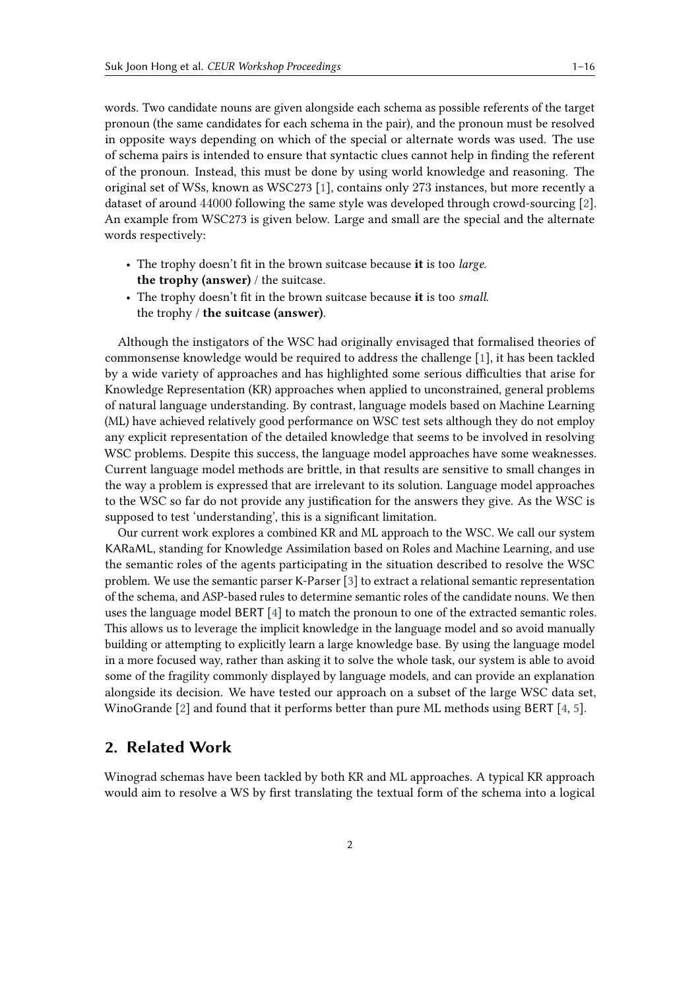words. Two candidate nouns are given alongside each schema as possible referents of the target pronoun (the same candidates for each schema in the pair), and the pronoun must be resolved in opposite ways depending on which of the special or alternate words was used. The use of schema pairs is intended to ensure that syntactic clues cannot help in finding the referent of the pronoun. Instead, this must be done by using world knowledge and reasoning. The original set of WSs, known as WSC273 [\[1\]](#page-14-0), contains only 273 instances, but more recently a dataset of around 44000 following the same style was developed through crowd-sourcing [\[2\]](#page-14-1). An example from WSC273 is given below. Large and small are the special and the alternate words respectively:

- The trophy doesn't fit in the brown suitcase because **it** is too *large*. **the trophy (answer)** / the suitcase.
- The trophy doesn't fit in the brown suitcase because **it** is too *small*. the trophy / **the suitcase (answer)**.

Although the instigators of the WSC had originally envisaged that formalised theories of commonsense knowledge would be required to address the challenge [\[1\]](#page-14-0), it has been tackled by a wide variety of approaches and has highlighted some serious difficulties that arise for Knowledge Representation (KR) approaches when applied to unconstrained, general problems of natural language understanding. By contrast, language models based on Machine Learning (ML) have achieved relatively good performance on WSC test sets although they do not employ any explicit representation of the detailed knowledge that seems to be involved in resolving WSC problems. Despite this success, the language model approaches have some weaknesses. Current language model methods are brittle, in that results are sensitive to small changes in the way a problem is expressed that are irrelevant to its solution. Language model approaches to the WSC so far do not provide any justification for the answers they give. As the WSC is supposed to test 'understanding', this is a significant limitation.

Our current work explores a combined KR and ML approach to the WSC. We call our system KARaML, standing for Knowledge Assimilation based on Roles and Machine Learning, and use the semantic roles of the agents participating in the situation described to resolve the WSC problem. We use the semantic parser K-Parser [\[3\]](#page-14-2) to extract a relational semantic representation of the schema, and ASP-based rules to determine semantic roles of the candidate nouns. We then uses the language model BERT [\[4\]](#page-14-3) to match the pronoun to one of the extracted semantic roles. This allows us to leverage the implicit knowledge in the language model and so avoid manually building or attempting to explicitly learn a large knowledge base. By using the language model in a more focused way, rather than asking it to solve the whole task, our system is able to avoid some of the fragility commonly displayed by language models, and can provide an explanation alongside its decision. We have tested our approach on a subset of the large WSC data set, WinoGrande [\[2\]](#page-14-1) and found that it performs better than pure ML methods using BERT [\[4,](#page-14-3) [5\]](#page-14-4).

## **2. Related Work**

Winograd schemas have been tackled by both KR and ML approaches. A typical KR approach would aim to resolve a WS by first translating the textual form of the schema into a logical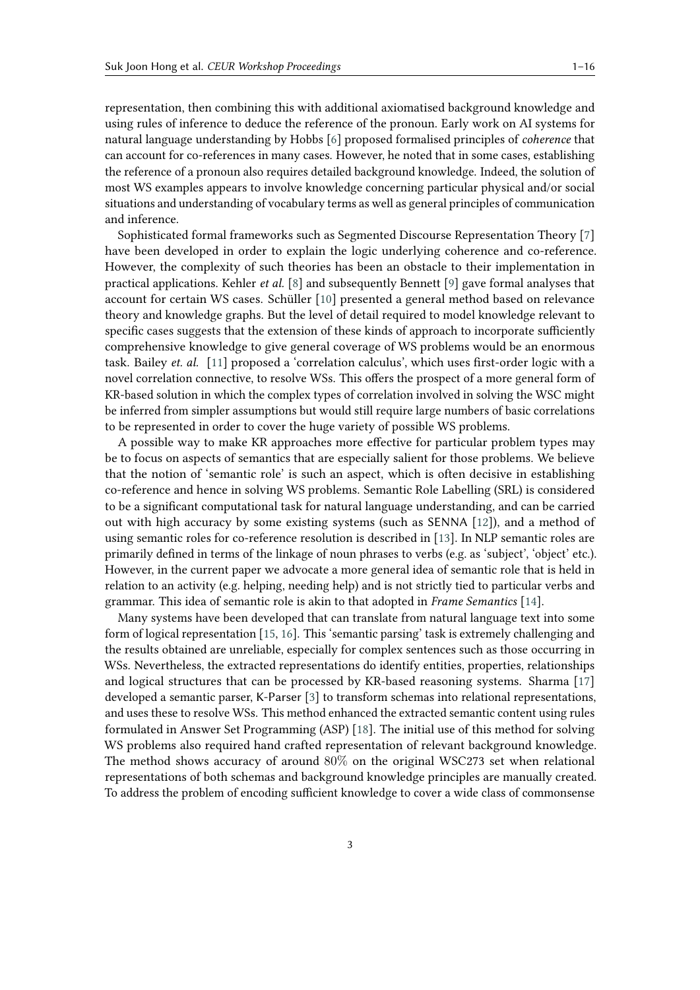representation, then combining this with additional axiomatised background knowledge and using rules of inference to deduce the reference of the pronoun. Early work on AI systems for natural language understanding by Hobbs [\[6\]](#page-14-5) proposed formalised principles of *coherence* that can account for co-references in many cases. However, he noted that in some cases, establishing the reference of a pronoun also requires detailed background knowledge. Indeed, the solution of most WS examples appears to involve knowledge concerning particular physical and/or social situations and understanding of vocabulary terms as well as general principles of communication and inference.

Sophisticated formal frameworks such as Segmented Discourse Representation Theory [\[7\]](#page-14-6) have been developed in order to explain the logic underlying coherence and co-reference. However, the complexity of such theories has been an obstacle to their implementation in practical applications. Kehler *et al.* [\[8\]](#page-14-7) and subsequently Bennett [\[9\]](#page-14-8) gave formal analyses that account for certain WS cases. Schüller [\[10\]](#page-14-9) presented a general method based on relevance theory and knowledge graphs. But the level of detail required to model knowledge relevant to specific cases suggests that the extension of these kinds of approach to incorporate sufficiently comprehensive knowledge to give general coverage of WS problems would be an enormous task. Bailey *et. al.* [\[11\]](#page-14-10) proposed a 'correlation calculus', which uses first-order logic with a novel correlation connective, to resolve WSs. This offers the prospect of a more general form of KR-based solution in which the complex types of correlation involved in solving the WSC might be inferred from simpler assumptions but would still require large numbers of basic correlations to be represented in order to cover the huge variety of possible WS problems.

A possible way to make KR approaches more effective for particular problem types may be to focus on aspects of semantics that are especially salient for those problems. We believe that the notion of 'semantic role' is such an aspect, which is often decisive in establishing co-reference and hence in solving WS problems. Semantic Role Labelling (SRL) is considered to be a significant computational task for natural language understanding, and can be carried out with high accuracy by some existing systems (such as SENNA [\[12\]](#page-14-11)), and a method of using semantic roles for co-reference resolution is described in [\[13\]](#page-14-12). In NLP semantic roles are primarily defined in terms of the linkage of noun phrases to verbs (e.g. as 'subject', 'object' etc.). However, in the current paper we advocate a more general idea of semantic role that is held in relation to an activity (e.g. helping, needing help) and is not strictly tied to particular verbs and grammar. This idea of semantic role is akin to that adopted in *Frame Semantics* [\[14\]](#page-14-13).

Many systems have been developed that can translate from natural language text into some form of logical representation [\[15,](#page-14-14) [16\]](#page-15-0). This 'semantic parsing' task is extremely challenging and the results obtained are unreliable, especially for complex sentences such as those occurring in WSs. Nevertheless, the extracted representations do identify entities, properties, relationships and logical structures that can be processed by KR-based reasoning systems. Sharma [\[17\]](#page-15-1) developed a semantic parser, K-Parser [\[3\]](#page-14-2) to transform schemas into relational representations, and uses these to resolve WSs. This method enhanced the extracted semantic content using rules formulated in Answer Set Programming (ASP) [\[18\]](#page-15-2). The initial use of this method for solving WS problems also required hand crafted representation of relevant background knowledge. The method shows accuracy of around 80% on the original WSC273 set when relational representations of both schemas and background knowledge principles are manually created. To address the problem of encoding sufficient knowledge to cover a wide class of commonsense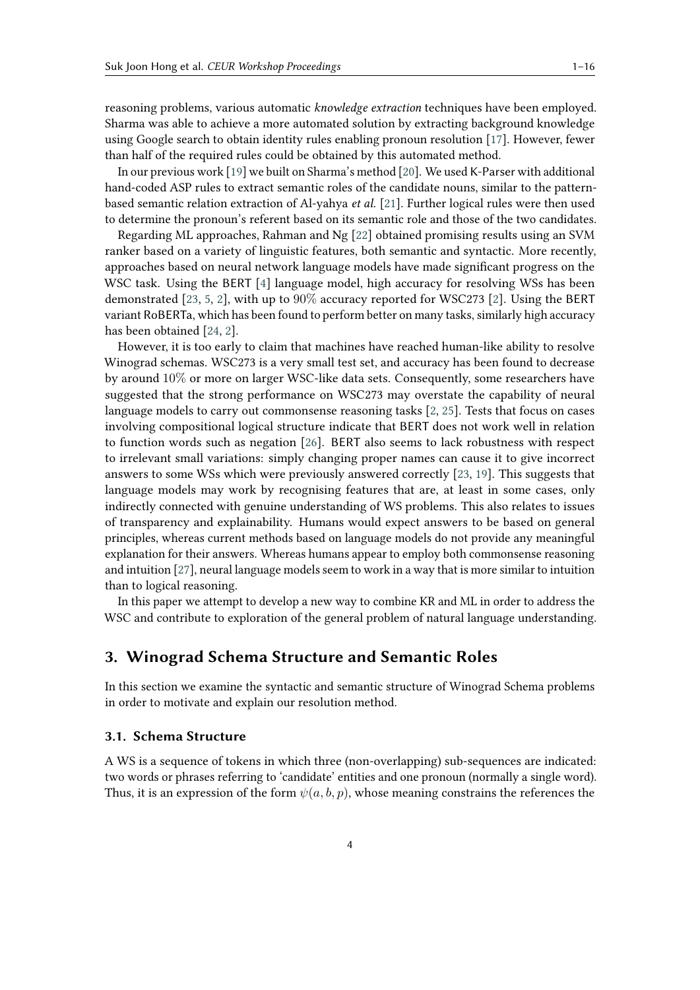reasoning problems, various automatic *knowledge extraction* techniques have been employed. Sharma was able to achieve a more automated solution by extracting background knowledge using Google search to obtain identity rules enabling pronoun resolution [\[17\]](#page-15-1). However, fewer than half of the required rules could be obtained by this automated method.

In our previous work [\[19\]](#page-15-3) we built on Sharma's method [\[20\]](#page-15-4). We used K-Parser with additional hand-coded ASP rules to extract semantic roles of the candidate nouns, similar to the patternbased semantic relation extraction of Al-yahya *et al.* [\[21\]](#page-15-5). Further logical rules were then used to determine the pronoun's referent based on its semantic role and those of the two candidates.

Regarding ML approaches, Rahman and Ng [\[22\]](#page-15-6) obtained promising results using an SVM ranker based on a variety of linguistic features, both semantic and syntactic. More recently, approaches based on neural network language models have made significant progress on the WSC task. Using the BERT [\[4\]](#page-14-3) language model, high accuracy for resolving WSs has been demonstrated [\[23,](#page-15-7) [5,](#page-14-4) [2\]](#page-14-1), with up to 90% accuracy reported for WSC273 [\[2\]](#page-14-1). Using the BERT variant RoBERTa, which has been found to perform better on many tasks, similarly high accuracy has been obtained [\[24,](#page-15-8) [2\]](#page-14-1).

However, it is too early to claim that machines have reached human-like ability to resolve Winograd schemas. WSC273 is a very small test set, and accuracy has been found to decrease by around 10% or more on larger WSC-like data sets. Consequently, some researchers have suggested that the strong performance on WSC273 may overstate the capability of neural language models to carry out commonsense reasoning tasks [\[2,](#page-14-1) [25\]](#page-15-9). Tests that focus on cases involving compositional logical structure indicate that BERT does not work well in relation to function words such as negation [\[26\]](#page-15-10). BERT also seems to lack robustness with respect to irrelevant small variations: simply changing proper names can cause it to give incorrect answers to some WSs which were previously answered correctly [\[23,](#page-15-7) [19\]](#page-15-3). This suggests that language models may work by recognising features that are, at least in some cases, only indirectly connected with genuine understanding of WS problems. This also relates to issues of transparency and explainability. Humans would expect answers to be based on general principles, whereas current methods based on language models do not provide any meaningful explanation for their answers. Whereas humans appear to employ both commonsense reasoning and intuition [\[27\]](#page-15-11), neural language models seem to work in a way that is more similar to intuition than to logical reasoning.

In this paper we attempt to develop a new way to combine KR and ML in order to address the WSC and contribute to exploration of the general problem of natural language understanding.

# <span id="page-3-0"></span>**3. Winograd Schema Structure and Semantic Roles**

In this section we examine the syntactic and semantic structure of Winograd Schema problems in order to motivate and explain our resolution method.

### **3.1. Schema Structure**

A WS is a sequence of tokens in which three (non-overlapping) sub-sequences are indicated: two words or phrases referring to 'candidate' entities and one pronoun (normally a single word). Thus, it is an expression of the form  $\psi(a, b, p)$ , whose meaning constrains the references the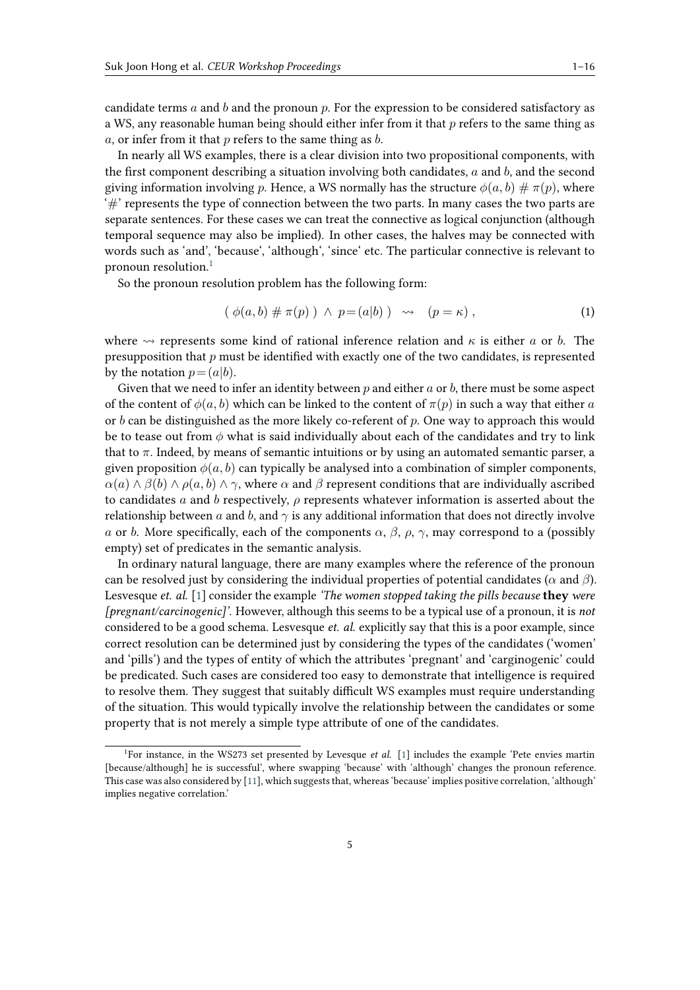candidate terms  $a$  and  $b$  and the pronoun  $p$ . For the expression to be considered satisfactory as a WS, any reasonable human being should either infer from it that  $p$  refers to the same thing as  $a$ , or infer from it that  $p$  refers to the same thing as  $b$ .

In nearly all WS examples, there is a clear division into two propositional components, with the first component describing a situation involving both candidates,  $a$  and  $b$ , and the second giving information involving p. Hence, a WS normally has the structure  $\phi(a, b) \# \pi(p)$ , where  $H^*$  represents the type of connection between the two parts. In many cases the two parts are separate sentences. For these cases we can treat the connective as logical conjunction (although temporal sequence may also be implied). In other cases, the halves may be connected with words such as 'and', 'because', 'although', 'since' etc. The particular connective is relevant to pronoun resolution.[1](#page-4-0)

So the pronoun resolution problem has the following form:

<span id="page-4-1"></span>
$$
(\phi(a,b)\# \pi(p)) \land p = (a|b) \quad \leadsto \quad (p = \kappa) \tag{1}
$$

where  $\rightsquigarrow$  represents some kind of rational inference relation and  $\kappa$  is either a or b. The presupposition that  $p$  must be identified with exactly one of the two candidates, is represented by the notation  $p = (a|b)$ .

Given that we need to infer an identity between  $p$  and either  $a$  or  $b$ , there must be some aspect of the content of  $\phi(a, b)$  which can be linked to the content of  $\pi(p)$  in such a way that either a or  $b$  can be distinguished as the more likely co-referent of  $p$ . One way to approach this would be to tease out from  $\phi$  what is said individually about each of the candidates and try to link that to  $\pi$ . Indeed, by means of semantic intuitions or by using an automated semantic parser, a given proposition  $\phi(a, b)$  can typically be analysed into a combination of simpler components,  $\alpha(a) \wedge \beta(b) \wedge \rho(a, b) \wedge \gamma$ , where  $\alpha$  and  $\beta$  represent conditions that are individually ascribed to candidates  $a$  and  $b$  respectively,  $\rho$  represents whatever information is asserted about the relationship between a and b, and  $\gamma$  is any additional information that does not directly involve a or b. More specifically, each of the components  $\alpha$ ,  $\beta$ ,  $\rho$ ,  $\gamma$ , may correspond to a (possibly empty) set of predicates in the semantic analysis.

In ordinary natural language, there are many examples where the reference of the pronoun can be resolved just by considering the individual properties of potential candidates ( $\alpha$  and  $\beta$ ). Lesvesque *et. al.* [\[1\]](#page-14-0) consider the example *'The women stopped taking the pills because* **they** *were [pregnant/carcinogenic]'*. However, although this seems to be a typical use of a pronoun, it is *not* considered to be a good schema. Lesvesque *et. al.* explicitly say that this is a poor example, since correct resolution can be determined just by considering the types of the candidates ('women' and 'pills') and the types of entity of which the attributes 'pregnant' and 'carginogenic' could be predicated. Such cases are considered too easy to demonstrate that intelligence is required to resolve them. They suggest that suitably difficult WS examples must require understanding of the situation. This would typically involve the relationship between the candidates or some property that is not merely a simple type attribute of one of the candidates.

<span id="page-4-0"></span><sup>&</sup>lt;sup>1</sup>For instance, in the WS273 set presented by Levesque et al. [\[1\]](#page-14-0) includes the example 'Pete envies martin [because/although] he is successful', where swapping 'because' with 'although' changes the pronoun reference. This case was also considered by [\[11\]](#page-14-10), which suggests that, whereas 'because' implies positive correlation, 'although' implies negative correlation.'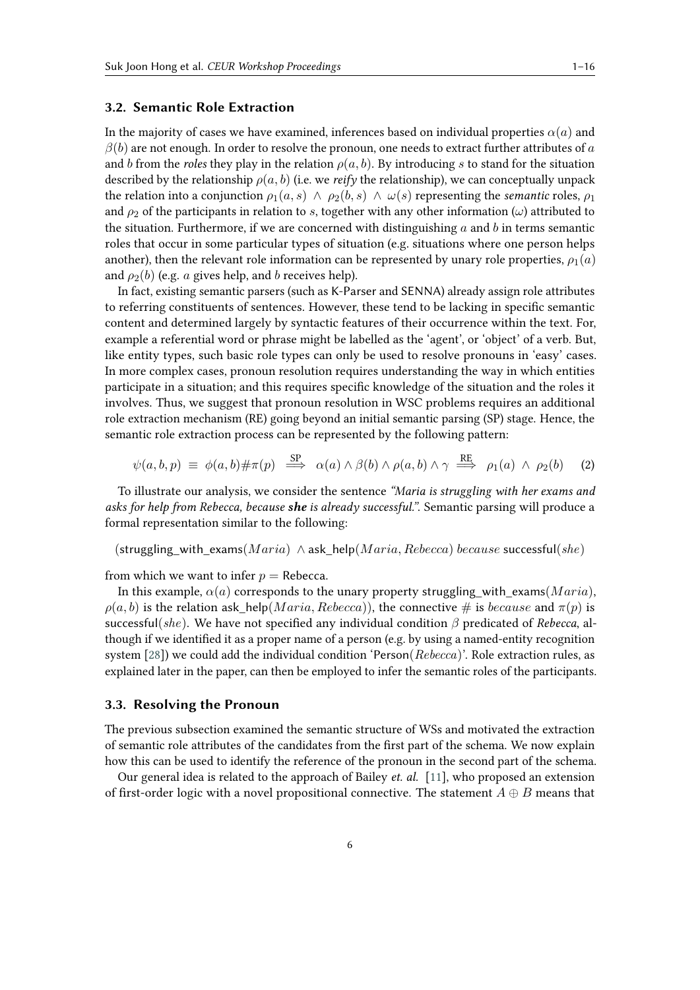## <span id="page-5-0"></span>**3.2. Semantic Role Extraction**

In the majority of cases we have examined, inferences based on individual properties  $\alpha(a)$  and  $\beta(b)$  are not enough. In order to resolve the pronoun, one needs to extract further attributes of a and *b* from the *roles* they play in the relation  $\rho(a, b)$ . By introducing *s* to stand for the situation described by the relationship  $\rho(a, b)$  (i.e. we *reify* the relationship), we can conceptually unpack the relation into a conjunction  $\rho_1(a, s) \wedge \rho_2(b, s) \wedge \omega(s)$  representing the *semantic* roles,  $\rho_1$ and  $\rho_2$  of the participants in relation to s, together with any other information ( $\omega$ ) attributed to the situation. Furthermore, if we are concerned with distinguishing  $a$  and  $b$  in terms semantic roles that occur in some particular types of situation (e.g. situations where one person helps another), then the relevant role information can be represented by unary role properties,  $\rho_1(a)$ and  $\rho_2(b)$  (e.g. *a* gives help, and *b* receives help).

In fact, existing semantic parsers (such as K-Parser and SENNA) already assign role attributes to referring constituents of sentences. However, these tend to be lacking in specific semantic content and determined largely by syntactic features of their occurrence within the text. For, example a referential word or phrase might be labelled as the 'agent', or 'object' of a verb. But, like entity types, such basic role types can only be used to resolve pronouns in 'easy' cases. In more complex cases, pronoun resolution requires understanding the way in which entities participate in a situation; and this requires specific knowledge of the situation and the roles it involves. Thus, we suggest that pronoun resolution in WSC problems requires an additional role extraction mechanism (RE) going beyond an initial semantic parsing (SP) stage. Hence, the semantic role extraction process can be represented by the following pattern:

$$
\psi(a,b,p) \equiv \phi(a,b)\#\pi(p) \stackrel{SP}{\implies} \alpha(a) \wedge \beta(b) \wedge \rho(a,b) \wedge \gamma \stackrel{RE}{\implies} \rho_1(a) \wedge \rho_2(b) \tag{2}
$$

To illustrate our analysis, we consider the sentence *"Maria is struggling with her exams and asks for help from Rebecca, because she is already successful."*. Semantic parsing will produce a formal representation similar to the following:

 $(\text{strugging with}\_{\text{examples}}( Maria) \wedge \text{ask}\_{\text{help}}(Maria, Rebecca) \text{ because successful}(she))$ 

from which we want to infer  $p =$  Rebecca.

In this example,  $\alpha(a)$  corresponds to the unary property struggling with exams( $Maria$ ),  $\rho(a, b)$  is the relation ask\_help(*Maria*, *Rebecca*)), the connective # is *because* and  $\pi(p)$  is successful(she). We have not specified any individual condition  $\beta$  predicated of *Rebecca*, although if we identified it as a proper name of a person (e.g. by using a named-entity recognition system  $[28]$ ) we could add the individual condition 'Person(Rebecca)'. Role extraction rules, as explained later in the paper, can then be employed to infer the semantic roles of the participants.

#### <span id="page-5-1"></span>**3.3. Resolving the Pronoun**

The previous subsection examined the semantic structure of WSs and motivated the extraction of semantic role attributes of the candidates from the first part of the schema. We now explain how this can be used to identify the reference of the pronoun in the second part of the schema.

Our general idea is related to the approach of Bailey *et. al.* [\[11\]](#page-14-10), who proposed an extension of first-order logic with a novel propositional connective. The statement  $A \oplus B$  means that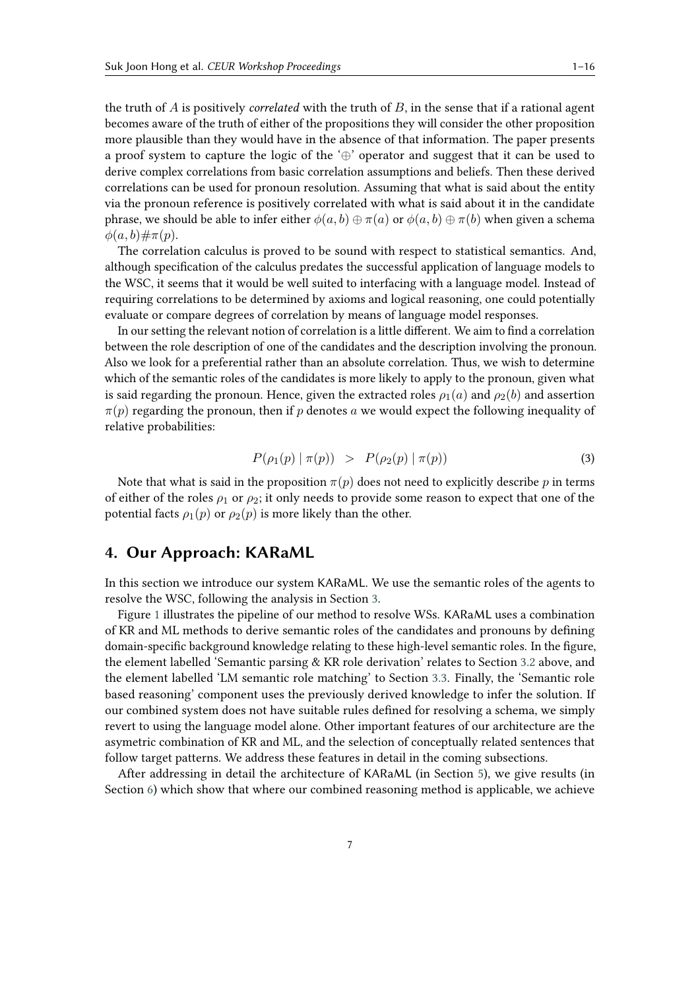the truth of  $A$  is positively *correlated* with the truth of  $B$ , in the sense that if a rational agent becomes aware of the truth of either of the propositions they will consider the other proposition more plausible than they would have in the absence of that information. The paper presents a proof system to capture the logic of the '⊕' operator and suggest that it can be used to derive complex correlations from basic correlation assumptions and beliefs. Then these derived correlations can be used for pronoun resolution. Assuming that what is said about the entity via the pronoun reference is positively correlated with what is said about it in the candidate phrase, we should be able to infer either  $\phi(a, b) \oplus \pi(a)$  or  $\phi(a, b) \oplus \pi(b)$  when given a schema  $\phi(a, b) \# \pi(p)$ .

The correlation calculus is proved to be sound with respect to statistical semantics. And, although specification of the calculus predates the successful application of language models to the WSC, it seems that it would be well suited to interfacing with a language model. Instead of requiring correlations to be determined by axioms and logical reasoning, one could potentially evaluate or compare degrees of correlation by means of language model responses.

In our setting the relevant notion of correlation is a little different. We aim to find a correlation between the role description of one of the candidates and the description involving the pronoun. Also we look for a preferential rather than an absolute correlation. Thus, we wish to determine which of the semantic roles of the candidates is more likely to apply to the pronoun, given what is said regarding the pronoun. Hence, given the extracted roles  $\rho_1(a)$  and  $\rho_2(b)$  and assertion  $\pi(p)$  regarding the pronoun, then if p denotes a we would expect the following inequality of relative probabilities:

$$
P(\rho_1(p) | \pi(p)) > P(\rho_2(p) | \pi(p)) \tag{3}
$$

Note that what is said in the proposition  $\pi(p)$  does not need to explicitly describe p in terms of either of the roles  $\rho_1$  or  $\rho_2$ ; it only needs to provide some reason to expect that one of the potential facts  $\rho_1(p)$  or  $\rho_2(p)$  is more likely than the other.

# **4. Our Approach: KARaML**

In this section we introduce our system KARaML. We use the semantic roles of the agents to resolve the WSC, following the analysis in Section [3.](#page-3-0)

Figure [1](#page-7-0) illustrates the pipeline of our method to resolve WSs. KARaML uses a combination of KR and ML methods to derive semantic roles of the candidates and pronouns by defining domain-specific background knowledge relating to these high-level semantic roles. In the figure, the element labelled 'Semantic parsing & KR role derivation' relates to Section [3.2](#page-5-0) above, and the element labelled 'LM semantic role matching' to Section [3.3.](#page-5-1) Finally, the 'Semantic role based reasoning' component uses the previously derived knowledge to infer the solution. If our combined system does not have suitable rules defined for resolving a schema, we simply revert to using the language model alone. Other important features of our architecture are the asymetric combination of KR and ML, and the selection of conceptually related sentences that follow target patterns. We address these features in detail in the coming subsections.

After addressing in detail the architecture of KARaML (in Section [5\)](#page-9-0), we give results (in Section [6\)](#page-12-0) which show that where our combined reasoning method is applicable, we achieve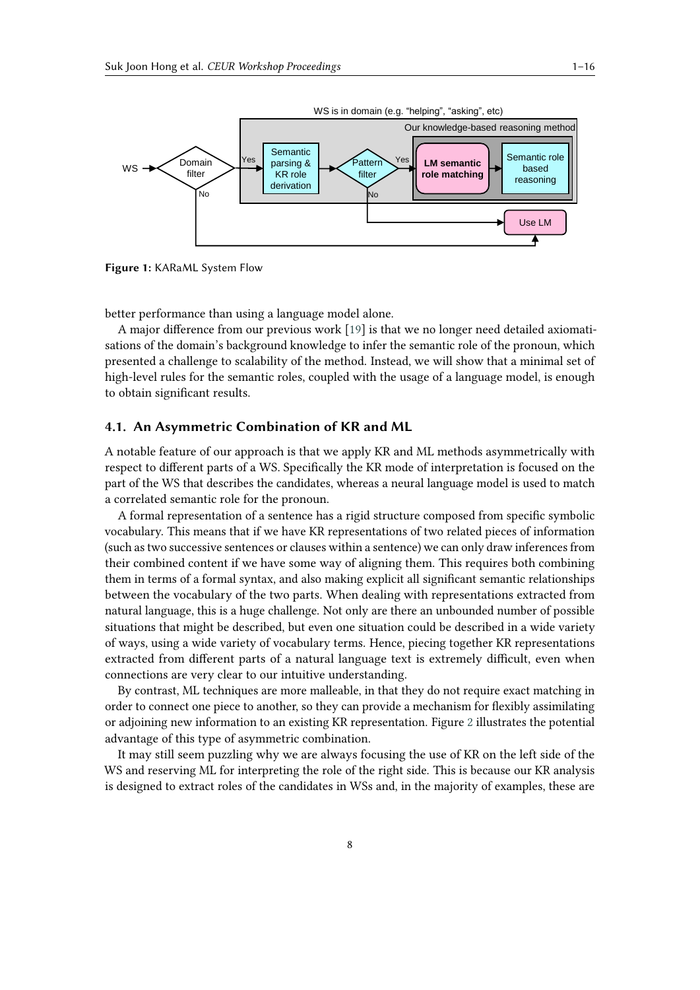

<span id="page-7-0"></span>**Figure 1:** KARaML System Flow

better performance than using a language model alone.

A major difference from our previous work [\[19\]](#page-15-3) is that we no longer need detailed axiomatisations of the domain's background knowledge to infer the semantic role of the pronoun, which presented a challenge to scalability of the method. Instead, we will show that a minimal set of high-level rules for the semantic roles, coupled with the usage of a language model, is enough to obtain significant results.

#### **4.1. An Asymmetric Combination of KR and ML**

A notable feature of our approach is that we apply KR and ML methods asymmetrically with respect to different parts of a WS. Specifically the KR mode of interpretation is focused on the part of the WS that describes the candidates, whereas a neural language model is used to match a correlated semantic role for the pronoun.

A formal representation of a sentence has a rigid structure composed from specific symbolic vocabulary. This means that if we have KR representations of two related pieces of information (such as two successive sentences or clauses within a sentence) we can only draw inferences from their combined content if we have some way of aligning them. This requires both combining them in terms of a formal syntax, and also making explicit all significant semantic relationships between the vocabulary of the two parts. When dealing with representations extracted from natural language, this is a huge challenge. Not only are there an unbounded number of possible situations that might be described, but even one situation could be described in a wide variety of ways, using a wide variety of vocabulary terms. Hence, piecing together KR representations extracted from different parts of a natural language text is extremely difficult, even when connections are very clear to our intuitive understanding.

By contrast, ML techniques are more malleable, in that they do not require exact matching in order to connect one piece to another, so they can provide a mechanism for flexibly assimilating or adjoining new information to an existing KR representation. Figure [2](#page-8-0) illustrates the potential advantage of this type of asymmetric combination.

It may still seem puzzling why we are always focusing the use of KR on the left side of the WS and reserving ML for interpreting the role of the right side. This is because our KR analysis is designed to extract roles of the candidates in WSs and, in the majority of examples, these are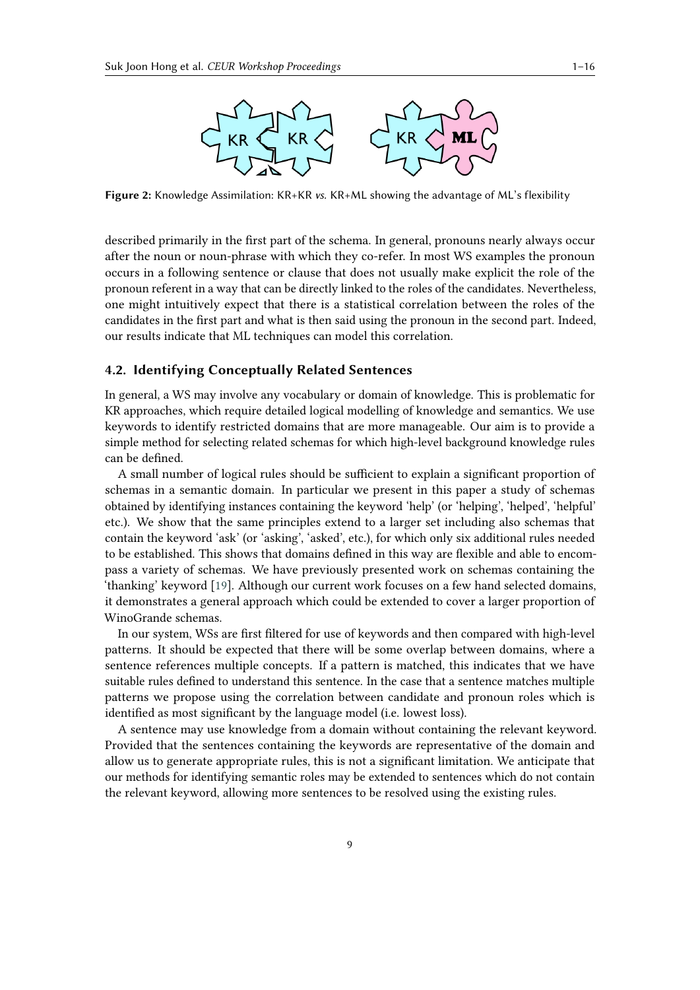

<span id="page-8-0"></span>**Figure 2:** Knowledge Assimilation: KR+KR *vs.* KR+ML showing the advantage of ML's flexibility

described primarily in the first part of the schema. In general, pronouns nearly always occur after the noun or noun-phrase with which they co-refer. In most WS examples the pronoun occurs in a following sentence or clause that does not usually make explicit the role of the pronoun referent in a way that can be directly linked to the roles of the candidates. Nevertheless, one might intuitively expect that there is a statistical correlation between the roles of the candidates in the first part and what is then said using the pronoun in the second part. Indeed, our results indicate that ML techniques can model this correlation.

## **4.2. Identifying Conceptually Related Sentences**

In general, a WS may involve any vocabulary or domain of knowledge. This is problematic for KR approaches, which require detailed logical modelling of knowledge and semantics. We use keywords to identify restricted domains that are more manageable. Our aim is to provide a simple method for selecting related schemas for which high-level background knowledge rules can be defined.

A small number of logical rules should be sufficient to explain a significant proportion of schemas in a semantic domain. In particular we present in this paper a study of schemas obtained by identifying instances containing the keyword 'help' (or 'helping', 'helped', 'helpful' etc.). We show that the same principles extend to a larger set including also schemas that contain the keyword 'ask' (or 'asking', 'asked', etc.), for which only six additional rules needed to be established. This shows that domains defined in this way are flexible and able to encompass a variety of schemas. We have previously presented work on schemas containing the 'thanking' keyword [\[19\]](#page-15-3). Although our current work focuses on a few hand selected domains, it demonstrates a general approach which could be extended to cover a larger proportion of WinoGrande schemas.

In our system, WSs are first filtered for use of keywords and then compared with high-level patterns. It should be expected that there will be some overlap between domains, where a sentence references multiple concepts. If a pattern is matched, this indicates that we have suitable rules defined to understand this sentence. In the case that a sentence matches multiple patterns we propose using the correlation between candidate and pronoun roles which is identified as most significant by the language model (i.e. lowest loss).

A sentence may use knowledge from a domain without containing the relevant keyword. Provided that the sentences containing the keywords are representative of the domain and allow us to generate appropriate rules, this is not a significant limitation. We anticipate that our methods for identifying semantic roles may be extended to sentences which do not contain the relevant keyword, allowing more sentences to be resolved using the existing rules.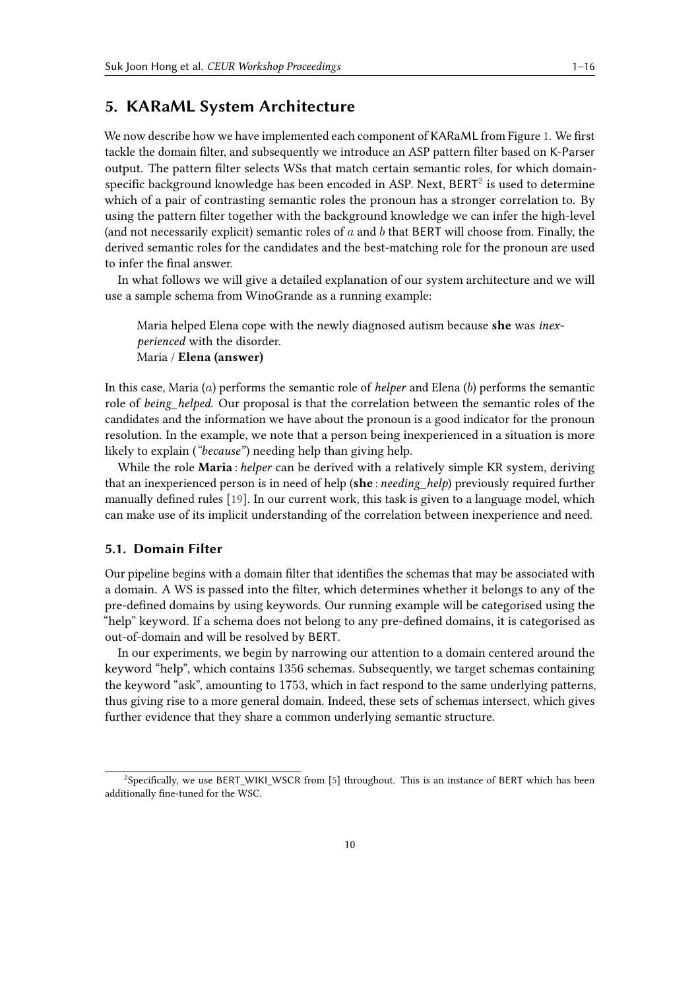# <span id="page-9-0"></span>**5. KARaML System Architecture**

We now describe how we have implemented each component of KARaML from Figure [1.](#page-7-0) We first tackle the domain filter, and subsequently we introduce an ASP pattern filter based on K-Parser output. The pattern filter selects WSs that match certain semantic roles, for which domainspecific background knowledge has been encoded in ASP. Next,  $BERT<sup>2</sup>$  $BERT<sup>2</sup>$  $BERT<sup>2</sup>$  is used to determine which of a pair of contrasting semantic roles the pronoun has a stronger correlation to. By using the pattern filter together with the background knowledge we can infer the high-level (and not necessarily explicit) semantic roles of  $a$  and  $b$  that BERT will choose from. Finally, the derived semantic roles for the candidates and the best-matching role for the pronoun are used to infer the final answer.

In what follows we will give a detailed explanation of our system architecture and we will use a sample schema from WinoGrande as a running example:

Maria helped Elena cope with the newly diagnosed autism because **she** was *inexperienced* with the disorder. Maria / **Elena (answer)**

In this case, Maria  $(a)$  performs the semantic role of *helper* and Elena  $(b)$  performs the semantic role of *being* helped. Our proposal is that the correlation between the semantic roles of the candidates and the information we have about the pronoun is a good indicator for the pronoun resolution. In the example, we note that a person being inexperienced in a situation is more likely to explain (*"because"*) needing help than giving help.

While the role **Maria** : *helper* can be derived with a relatively simple KR system, deriving that an inexperienced person is in need of help (**she** : *needing\_help*) previously required further manually defined rules [\[19\]](#page-15-3). In our current work, this task is given to a language model, which can make use of its implicit understanding of the correlation between inexperience and need.

## **5.1. Domain Filter**

Our pipeline begins with a domain filter that identifies the schemas that may be associated with a domain. A WS is passed into the filter, which determines whether it belongs to any of the pre-defined domains by using keywords. Our running example will be categorised using the "help" keyword. If a schema does not belong to any pre-defined domains, it is categorised as out-of-domain and will be resolved by BERT.

In our experiments, we begin by narrowing our attention to a domain centered around the keyword "help", which contains 1356 schemas. Subsequently, we target schemas containing the keyword "ask", amounting to 1753, which in fact respond to the same underlying patterns, thus giving rise to a more general domain. Indeed, these sets of schemas intersect, which gives further evidence that they share a common underlying semantic structure.

<span id="page-9-1"></span> $^2$ Specifically, we use BERT\_WIKI\_WSCR from [\[5\]](#page-14-4) throughout. This is an instance of BERT which has been additionally fine-tuned for the WSC.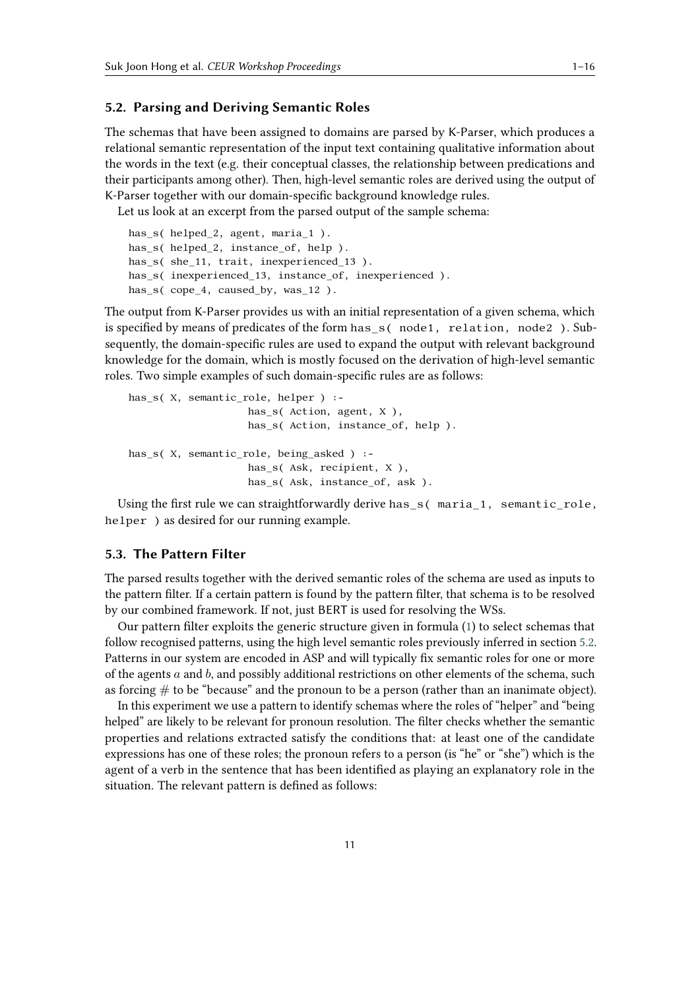## <span id="page-10-0"></span>**5.2. Parsing and Deriving Semantic Roles**

The schemas that have been assigned to domains are parsed by K-Parser, which produces a relational semantic representation of the input text containing qualitative information about the words in the text (e.g. their conceptual classes, the relationship between predications and their participants among other). Then, high-level semantic roles are derived using the output of K-Parser together with our domain-specific background knowledge rules.

Let us look at an excerpt from the parsed output of the sample schema:

```
has_s( helped_2, agent, maria_1 ).
has_s( helped_2, instance_of, help ).
has_s( she_11, trait, inexperienced_13 ).
has_s( inexperienced_13, instance_of, inexperienced ).
has_s( cope_4, caused_by, was_12 ).
```
The output from K-Parser provides us with an initial representation of a given schema, which is specified by means of predicates of the form has\_s( node1, relation, node2 ). Subsequently, the domain-specific rules are used to expand the output with relevant background knowledge for the domain, which is mostly focused on the derivation of high-level semantic roles. Two simple examples of such domain-specific rules are as follows:

```
has_s( X, semantic_role, helper ) :-
                    has_s( Action, agent, X ),
                    has_s( Action, instance_of, help ).
has_s( X, semantic_role, being_asked ) :-
                    has s( Ask, recipient, X ),
                    has s( Ask, instance of, ask ).
```
Using the first rule we can straightforwardly derive has\_s( maria\_1, semantic\_role, helper ) as desired for our running example.

#### **5.3. The Pattern Filter**

The parsed results together with the derived semantic roles of the schema are used as inputs to the pattern filter. If a certain pattern is found by the pattern filter, that schema is to be resolved by our combined framework. If not, just BERT is used for resolving the WSs.

Our pattern filter exploits the generic structure given in formula [\(1\)](#page-4-1) to select schemas that follow recognised patterns, using the high level semantic roles previously inferred in section [5.2.](#page-10-0) Patterns in our system are encoded in ASP and will typically fix semantic roles for one or more of the agents  $a$  and  $b$ , and possibly additional restrictions on other elements of the schema, such as forcing  $\#$  to be "because" and the pronoun to be a person (rather than an inanimate object).

In this experiment we use a pattern to identify schemas where the roles of "helper" and "being helped" are likely to be relevant for pronoun resolution. The filter checks whether the semantic properties and relations extracted satisfy the conditions that: at least one of the candidate expressions has one of these roles; the pronoun refers to a person (is "he" or "she") which is the agent of a verb in the sentence that has been identified as playing an explanatory role in the situation. The relevant pattern is defined as follows: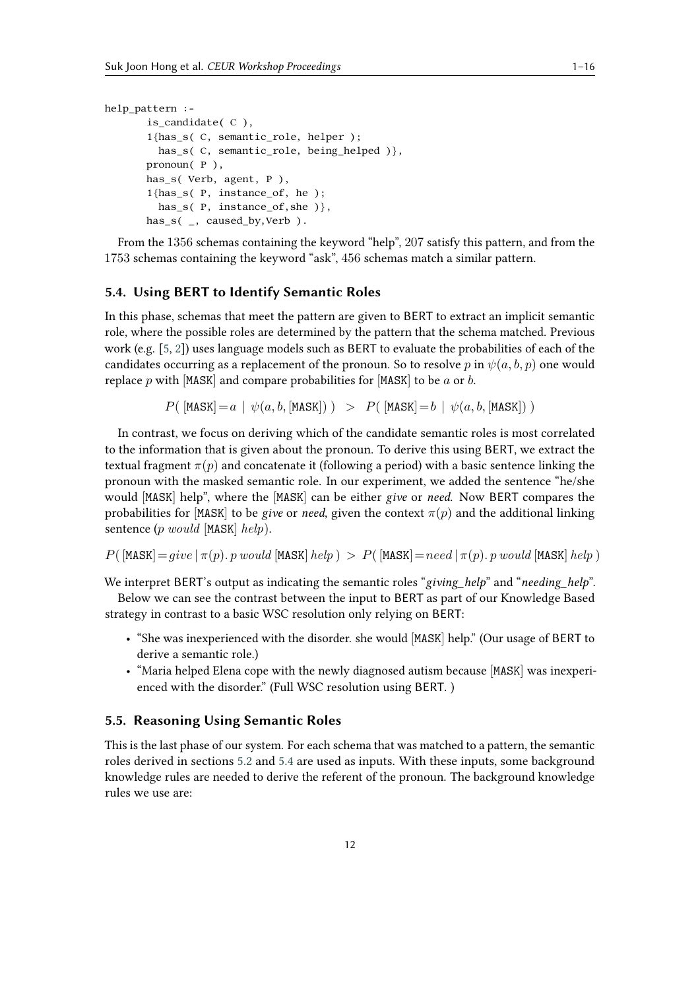```
help_pattern :-
       is_candidate( C ),
       1{has_s( C, semantic_role, helper );
        has_s(C, semantic_role, being_helped ) },
       pronoun( P ),
       has_s( Verb, agent, P ),
       1{has_s( P, instance_of, he );
         has_s(P, instance_of,she) },
       has s(, caused by, Verb ).
```
From the 1356 schemas containing the keyword "help", 207 satisfy this pattern, and from the 1753 schemas containing the keyword "ask", 456 schemas match a similar pattern.

### <span id="page-11-0"></span>**5.4. Using BERT to Identify Semantic Roles**

In this phase, schemas that meet the pattern are given to BERT to extract an implicit semantic role, where the possible roles are determined by the pattern that the schema matched. Previous work (e.g. [\[5,](#page-14-4) [2\]](#page-14-1)) uses language models such as BERT to evaluate the probabilities of each of the candidates occurring as a replacement of the pronoun. So to resolve p in  $\psi(a, b, p)$  one would replace  $p$  with [MASK] and compare probabilities for [MASK] to be  $a$  or  $b$ .

 $P($  [MASK] =  $a | \psi(a, b,$  [MASK])  $)$  >  $P($  [MASK] =  $b | \psi(a, b,$  [MASK])  $)$ 

In contrast, we focus on deriving which of the candidate semantic roles is most correlated to the information that is given about the pronoun. To derive this using BERT, we extract the textual fragment  $\pi(p)$  and concatenate it (following a period) with a basic sentence linking the pronoun with the masked semantic role. In our experiment, we added the sentence "he/she would [MASK] help", where the [MASK] can be either *give* or *need*. Now BERT compares the probabilities for [MASK] to be *give* or *need*, given the context  $\pi(p)$  and the additional linking sentence  $(p \text{ would } [MASK] \text{ help}).$ 

$$
P(\text{[MASK]} = give \mid \pi(p), p \text{ would } [\text{MASK}] \text{ help}) > P(\text{[MASK]} = need \mid \pi(p), p \text{ would } [\text{MASK}] \text{ help})
$$

We interpret BERT's output as indicating the semantic roles "*giving help*" and "*needing help*".

Below we can see the contrast between the input to BERT as part of our Knowledge Based strategy in contrast to a basic WSC resolution only relying on BERT:

- "She was inexperienced with the disorder. she would [MASK] help." (Our usage of BERT to derive a semantic role.)
- "Maria helped Elena cope with the newly diagnosed autism because [MASK] was inexperienced with the disorder." (Full WSC resolution using BERT. )

#### **5.5. Reasoning Using Semantic Roles**

This is the last phase of our system. For each schema that was matched to a pattern, the semantic roles derived in sections [5.2](#page-10-0) and [5.4](#page-11-0) are used as inputs. With these inputs, some background knowledge rules are needed to derive the referent of the pronoun. The background knowledge rules we use are: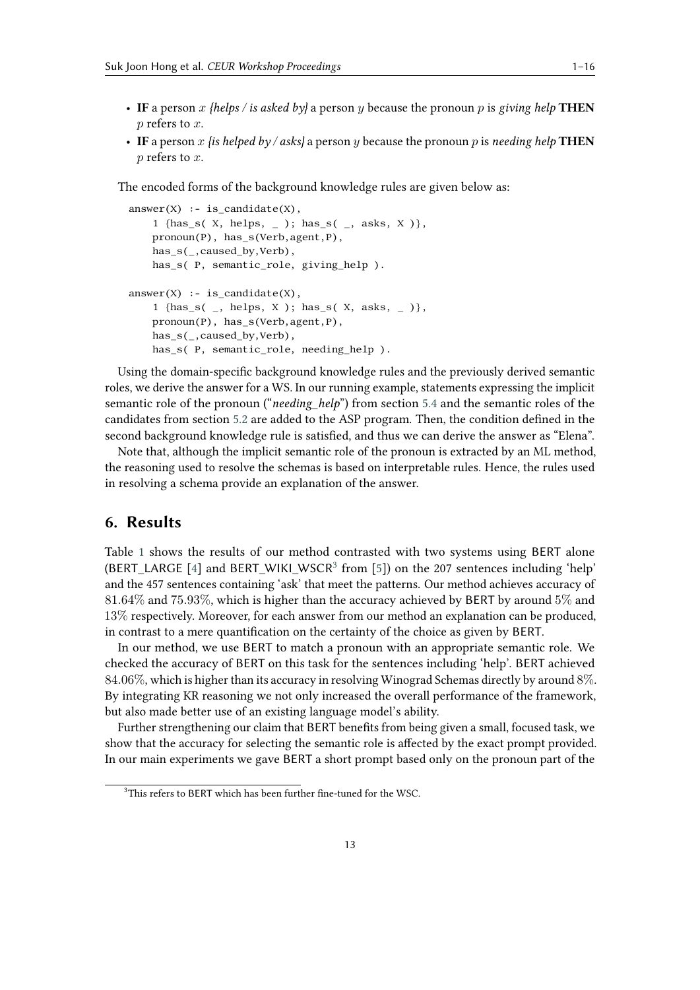- 
- IF a person x {helps / is asked by} a person y because the pronoun p is giving help **THEN**  *refers to*  $*x*$ *.*
- IF a person x *{is helped by / asks}* a person y because the pronoun p is *needing help* THEN  $p$  refers to  $x$ .

The encoded forms of the background knowledge rules are given below as:

```
answer(X) :- is\_candidate(X),1 {has_s( X, helps, _ ); has_s( _, asks, X )},
    pronoun(P), has_s(Verb,agent,P),
    has_s(_,caused_by,Verb),
   has_s( P, semantic_role, giving_help ).
answer(X) :- is candidate(X),
    1 {has_s( _, helps, X ); has_s( X, asks, _ )},
    pronoun(P), has_s(Verb,agent,P),
   has_s(_,caused_by,Verb),
    has s( P, semantic role, needing help ).
```
Using the domain-specific background knowledge rules and the previously derived semantic roles, we derive the answer for a WS. In our running example, statements expressing the implicit semantic role of the pronoun ("*needing\_help*") from section [5.4](#page-11-0) and the semantic roles of the candidates from section [5.2](#page-10-0) are added to the ASP program. Then, the condition defined in the second background knowledge rule is satisfied, and thus we can derive the answer as "Elena".

Note that, although the implicit semantic role of the pronoun is extracted by an ML method, the reasoning used to resolve the schemas is based on interpretable rules. Hence, the rules used in resolving a schema provide an explanation of the answer.

# <span id="page-12-0"></span>**6. Results**

Table [1](#page-13-0) shows the results of our method contrasted with two systems using BERT alone (BERT\_LARGE [\[4\]](#page-14-3) and BERT\_WIKI\_WSCR<sup>[3](#page-12-1)</sup> from [\[5\]](#page-14-4)) on the 207 sentences including 'help' and the 457 sentences containing 'ask' that meet the patterns. Our method achieves accuracy of 81.64% and 75.93%, which is higher than the accuracy achieved by BERT by around 5% and 13% respectively. Moreover, for each answer from our method an explanation can be produced, in contrast to a mere quantification on the certainty of the choice as given by BERT.

In our method, we use BERT to match a pronoun with an appropriate semantic role. We checked the accuracy of BERT on this task for the sentences including 'help'. BERT achieved 84.06%, which is higher than its accuracy in resolving Winograd Schemas directly by around 8%. By integrating KR reasoning we not only increased the overall performance of the framework, but also made better use of an existing language model's ability.

Further strengthening our claim that BERT benefits from being given a small, focused task, we show that the accuracy for selecting the semantic role is affected by the exact prompt provided. In our main experiments we gave BERT a short prompt based only on the pronoun part of the

<span id="page-12-1"></span> $3$ This refers to BERT which has been further fine-tuned for the WSC.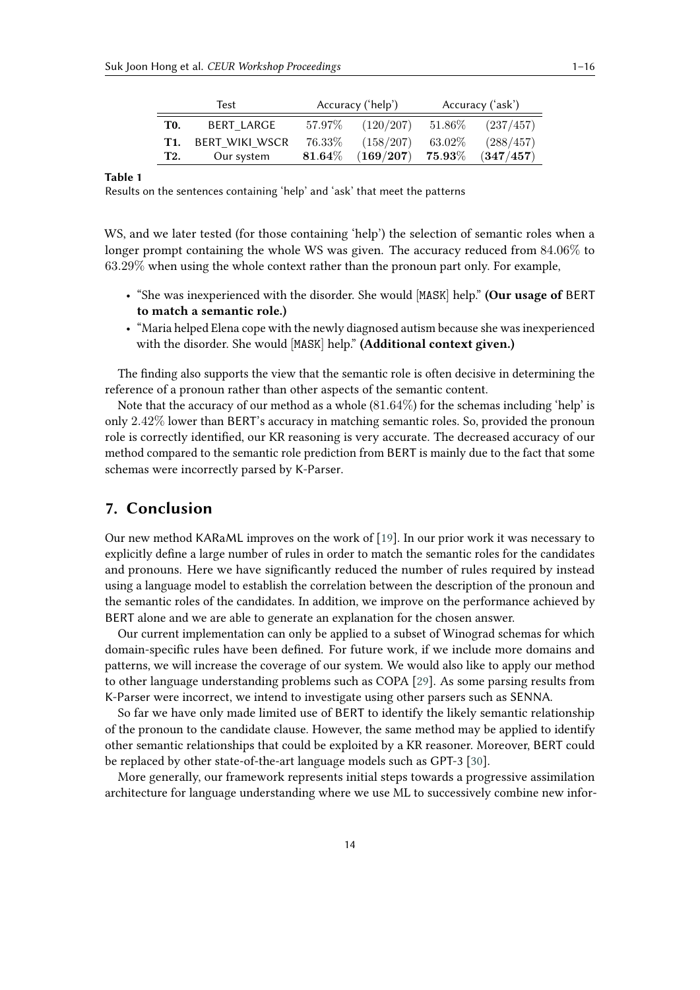|            | Test               | Accuracy ('help')  |                                 | Accuracy ('ask') |           |
|------------|--------------------|--------------------|---------------------------------|------------------|-----------|
| <b>TO.</b> | BERT LARGE         |                    | $57.97\%$ $(120/207)$ $51.86\%$ |                  | (237/457) |
|            | T1. BERT WIKI WSCR | $76.33\%$          | (158/207)                       | $63.02\%$        | (288/457) |
| <b>T2.</b> | Our system         | $\mathbf{81.64}\%$ | $(169/207)$ 75.93 $\%$          |                  | (347/457) |

**Table 1**

<span id="page-13-0"></span>Results on the sentences containing 'help' and 'ask' that meet the patterns

WS, and we later tested (for those containing 'help') the selection of semantic roles when a longer prompt containing the whole WS was given. The accuracy reduced from 84.06% to 63.29% when using the whole context rather than the pronoun part only. For example,

- "She was inexperienced with the disorder. She would [MASK] help." **(Our usage of** BERT **to match a semantic role.)**
- "Maria helped Elena cope with the newly diagnosed autism because she was inexperienced with the disorder. She would [MASK] help." **(Additional context given.)**

The finding also supports the view that the semantic role is often decisive in determining the reference of a pronoun rather than other aspects of the semantic content.

Note that the accuracy of our method as a whole  $(81.64\%)$  for the schemas including 'help' is only 2.42% lower than BERT's accuracy in matching semantic roles. So, provided the pronoun role is correctly identified, our KR reasoning is very accurate. The decreased accuracy of our method compared to the semantic role prediction from BERT is mainly due to the fact that some schemas were incorrectly parsed by K-Parser.

# **7. Conclusion**

Our new method KARaML improves on the work of [\[19\]](#page-15-3). In our prior work it was necessary to explicitly define a large number of rules in order to match the semantic roles for the candidates and pronouns. Here we have significantly reduced the number of rules required by instead using a language model to establish the correlation between the description of the pronoun and the semantic roles of the candidates. In addition, we improve on the performance achieved by BERT alone and we are able to generate an explanation for the chosen answer.

Our current implementation can only be applied to a subset of Winograd schemas for which domain-specific rules have been defined. For future work, if we include more domains and patterns, we will increase the coverage of our system. We would also like to apply our method to other language understanding problems such as COPA [\[29\]](#page-15-13). As some parsing results from K-Parser were incorrect, we intend to investigate using other parsers such as SENNA.

So far we have only made limited use of BERT to identify the likely semantic relationship of the pronoun to the candidate clause. However, the same method may be applied to identify other semantic relationships that could be exploited by a KR reasoner. Moreover, BERT could be replaced by other state-of-the-art language models such as GPT-3 [\[30\]](#page-15-14).

More generally, our framework represents initial steps towards a progressive assimilation architecture for language understanding where we use ML to successively combine new infor-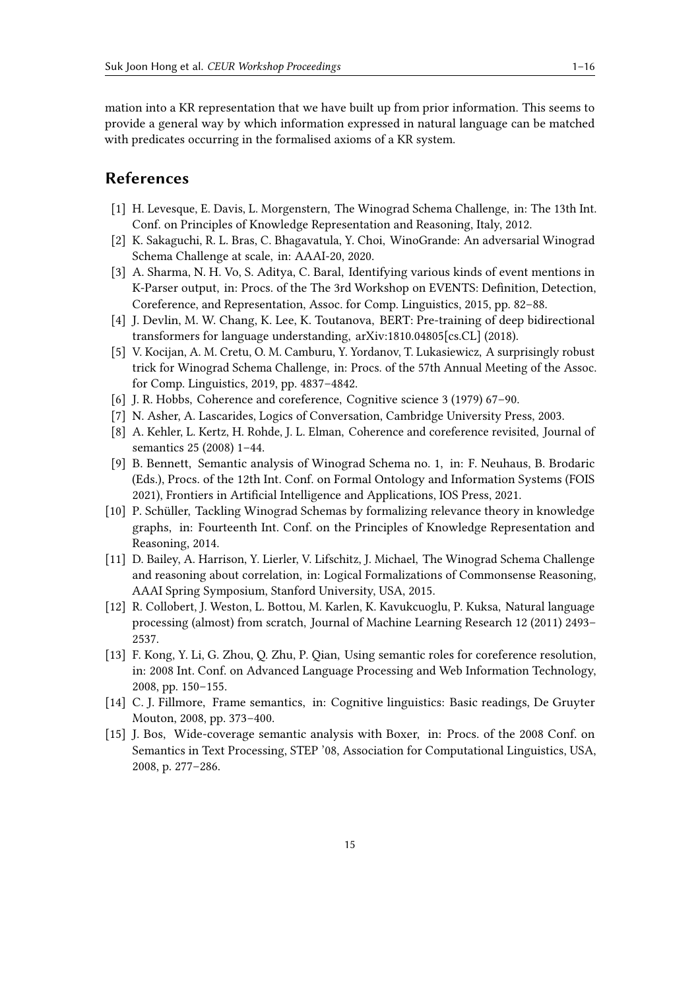mation into a KR representation that we have built up from prior information. This seems to provide a general way by which information expressed in natural language can be matched with predicates occurring in the formalised axioms of a KR system.

# **References**

- <span id="page-14-0"></span>[1] H. Levesque, E. Davis, L. Morgenstern, The Winograd Schema Challenge, in: The 13th Int. Conf. on Principles of Knowledge Representation and Reasoning, Italy, 2012.
- <span id="page-14-1"></span>[2] K. Sakaguchi, R. L. Bras, C. Bhagavatula, Y. Choi, WinoGrande: An adversarial Winograd Schema Challenge at scale, in: AAAI-20, 2020.
- <span id="page-14-2"></span>[3] A. Sharma, N. H. Vo, S. Aditya, C. Baral, Identifying various kinds of event mentions in K-Parser output, in: Procs. of the The 3rd Workshop on EVENTS: Definition, Detection, Coreference, and Representation, Assoc. for Comp. Linguistics, 2015, pp. 82–88.
- <span id="page-14-3"></span>[4] J. Devlin, M. W. Chang, K. Lee, K. Toutanova, BERT: Pre-training of deep bidirectional transformers for language understanding, arXiv:1810.04805[cs.CL] (2018).
- <span id="page-14-4"></span>[5] V. Kocijan, A. M. Cretu, O. M. Camburu, Y. Yordanov, T. Lukasiewicz, A surprisingly robust trick for Winograd Schema Challenge, in: Procs. of the 57th Annual Meeting of the Assoc. for Comp. Linguistics, 2019, pp. 4837–4842.
- <span id="page-14-5"></span>[6] J. R. Hobbs, Coherence and coreference, Cognitive science 3 (1979) 67–90.
- <span id="page-14-6"></span>[7] N. Asher, A. Lascarides, Logics of Conversation, Cambridge University Press, 2003.
- <span id="page-14-7"></span>[8] A. Kehler, L. Kertz, H. Rohde, J. L. Elman, Coherence and coreference revisited, Journal of semantics 25 (2008) 1–44.
- <span id="page-14-8"></span>[9] B. Bennett, Semantic analysis of Winograd Schema no. 1, in: F. Neuhaus, B. Brodaric (Eds.), Procs. of the 12th Int. Conf. on Formal Ontology and Information Systems (FOIS 2021), Frontiers in Artificial Intelligence and Applications, IOS Press, 2021.
- <span id="page-14-9"></span>[10] P. Schüller, Tackling Winograd Schemas by formalizing relevance theory in knowledge graphs, in: Fourteenth Int. Conf. on the Principles of Knowledge Representation and Reasoning, 2014.
- <span id="page-14-10"></span>[11] D. Bailey, A. Harrison, Y. Lierler, V. Lifschitz, J. Michael, The Winograd Schema Challenge and reasoning about correlation, in: Logical Formalizations of Commonsense Reasoning, AAAI Spring Symposium, Stanford University, USA, 2015.
- <span id="page-14-11"></span>[12] R. Collobert, J. Weston, L. Bottou, M. Karlen, K. Kavukcuoglu, P. Kuksa, Natural language processing (almost) from scratch, Journal of Machine Learning Research 12 (2011) 2493– 2537.
- <span id="page-14-12"></span>[13] F. Kong, Y. Li, G. Zhou, Q. Zhu, P. Qian, Using semantic roles for coreference resolution, in: 2008 Int. Conf. on Advanced Language Processing and Web Information Technology, 2008, pp. 150–155.
- <span id="page-14-13"></span>[14] C. J. Fillmore, Frame semantics, in: Cognitive linguistics: Basic readings, De Gruyter Mouton, 2008, pp. 373–400.
- <span id="page-14-14"></span>[15] J. Bos, Wide-coverage semantic analysis with Boxer, in: Procs. of the 2008 Conf. on Semantics in Text Processing, STEP '08, Association for Computational Linguistics, USA, 2008, p. 277–286.